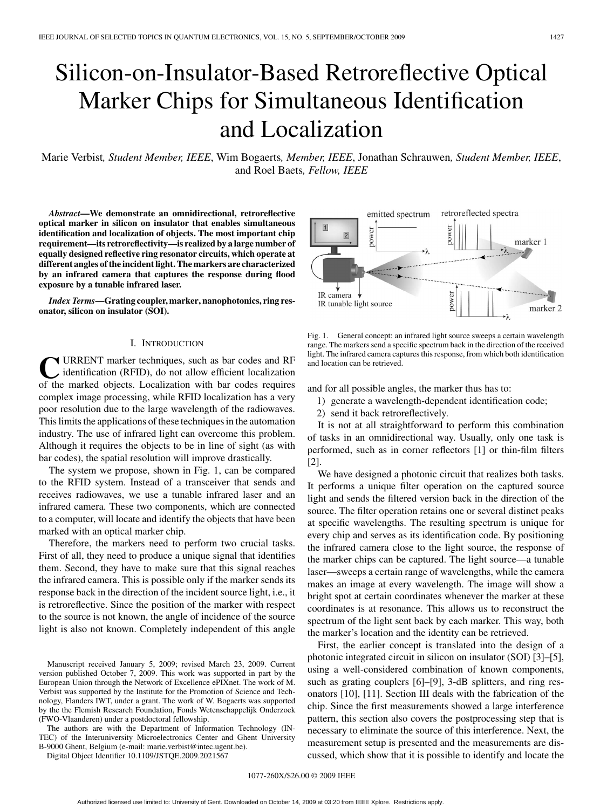# Silicon-on-Insulator-Based Retroreflective Optical Marker Chips for Simultaneous Identification and Localization

Marie Verbist*, Student Member, IEEE*, Wim Bogaerts*, Member, IEEE*, Jonathan Schrauwen*, Student Member, IEEE*, and Roel Baets*, Fellow, IEEE*

*Abstract***—We demonstrate an omnidirectional, retroreflective optical marker in silicon on insulator that enables simultaneous identification and localization of objects. The most important chip requirement—its retroreflectivity—is realized by a large number of equally designed reflective ring resonator circuits, which operate at different angles of the incident light. The markers are characterized by an infrared camera that captures the response during flood exposure by a tunable infrared laser.**

*Index Terms***—Grating coupler, marker, nanophotonics, ring resonator, silicon on insulator (SOI).**

# I. INTRODUCTION

**C**URRENT marker techniques, such as bar codes and RF identification (RFID), do not allow efficient localization of the marked objects. Localization with bar codes requires complex image processing, while RFID localization has a very poor resolution due to the large wavelength of the radiowaves. This limits the applications of these techniques in the automation industry. The use of infrared light can overcome this problem. Although it requires the objects to be in line of sight (as with bar codes), the spatial resolution will improve drastically.

The system we propose, shown in Fig. 1, can be compared to the RFID system. Instead of a transceiver that sends and receives radiowaves, we use a tunable infrared laser and an infrared camera. These two components, which are connected to a computer, will locate and identify the objects that have been marked with an optical marker chip.

Therefore, the markers need to perform two crucial tasks. First of all, they need to produce a unique signal that identifies them. Second, they have to make sure that this signal reaches the infrared camera. This is possible only if the marker sends its response back in the direction of the incident source light, i.e., it is retroreflective. Since the position of the marker with respect to the source is not known, the angle of incidence of the source light is also not known. Completely independent of this angle

The authors are with the Department of Information Technology (IN-TEC) of the Interuniversity Microelectronics Center and Ghent University B-9000 Ghent, Belgium (e-mail: marie.verbist@intec.ugent.be).

Digital Object Identifier 10.1109/JSTQE.2009.2021567

 $\sqrt{1}$ power oower  $\overline{2}$ marker 1 power IR camera IR tunable light source marker 2

retroreflected spectra

Fig. 1. General concept: an infrared light source sweeps a certain wavelength range. The markers send a specific spectrum back in the direction of the received light. The infrared camera captures this response, from which both identification and location can be retrieved.

and for all possible angles, the marker thus has to:

emitted spectrum

- 1) generate a wavelength-dependent identification code;
- 2) send it back retroreflectively.

It is not at all straightforward to perform this combination of tasks in an omnidirectional way. Usually, only one task is performed, such as in corner reflectors [1] or thin-film filters [2].

We have designed a photonic circuit that realizes both tasks. It performs a unique filter operation on the captured source light and sends the filtered version back in the direction of the source. The filter operation retains one or several distinct peaks at specific wavelengths. The resulting spectrum is unique for every chip and serves as its identification code. By positioning the infrared camera close to the light source, the response of the marker chips can be captured. The light source—a tunable laser—sweeps a certain range of wavelengths, while the camera makes an image at every wavelength. The image will show a bright spot at certain coordinates whenever the marker at these coordinates is at resonance. This allows us to reconstruct the spectrum of the light sent back by each marker. This way, both the marker's location and the identity can be retrieved.

First, the earlier concept is translated into the design of a photonic integrated circuit in silicon on insulator (SOI) [3]–[5], using a well-considered combination of known components, such as grating couplers [6]–[9], 3-dB splitters, and ring resonators [10], [11]. Section III deals with the fabrication of the chip. Since the first measurements showed a large interference pattern, this section also covers the postprocessing step that is necessary to eliminate the source of this interference. Next, the measurement setup is presented and the measurements are discussed, which show that it is possible to identify and locate the

Manuscript received January 5, 2009; revised March 23, 2009. Current version published October 7, 2009. This work was supported in part by the European Union through the Network of Excellence ePIXnet. The work of M. Verbist was supported by the Institute for the Promotion of Science and Technology, Flanders IWT, under a grant. The work of W. Bogaerts was supported by the the Flemish Research Foundation, Fonds Wetenschappelijk Onderzoek (FWO-Vlaanderen) under a postdoctoral fellowship.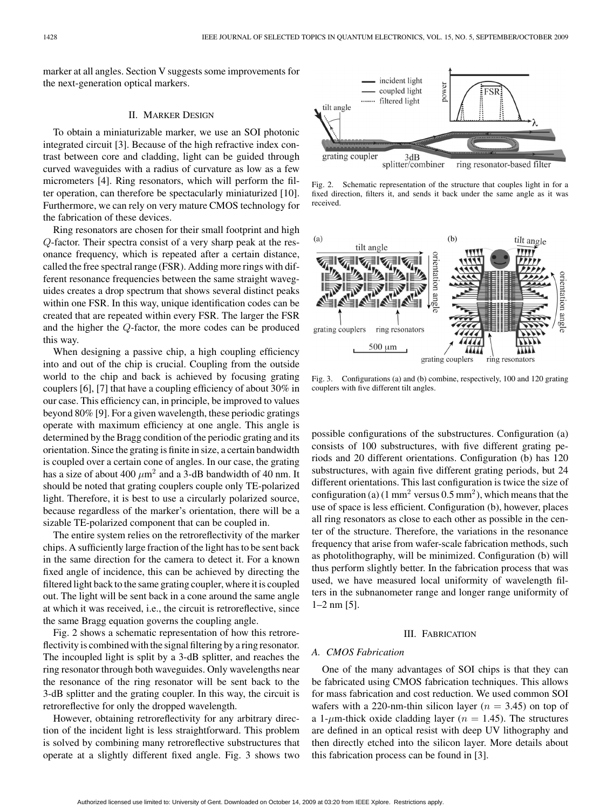marker at all angles. Section V suggests some improvements for the next-generation optical markers.

## II. MARKER DESIGN

To obtain a miniaturizable marker, we use an SOI photonic integrated circuit [3]. Because of the high refractive index contrast between core and cladding, light can be guided through curved waveguides with a radius of curvature as low as a few micrometers [4]. Ring resonators, which will perform the filter operation, can therefore be spectacularly miniaturized [10]. Furthermore, we can rely on very mature CMOS technology for the fabrication of these devices.

Ring resonators are chosen for their small footprint and high Q-factor. Their spectra consist of a very sharp peak at the resonance frequency, which is repeated after a certain distance, called the free spectral range (FSR). Adding more rings with different resonance frequencies between the same straight waveguides creates a drop spectrum that shows several distinct peaks within one FSR. In this way, unique identification codes can be created that are repeated within every FSR. The larger the FSR and the higher the Q-factor, the more codes can be produced this way.

When designing a passive chip, a high coupling efficiency into and out of the chip is crucial. Coupling from the outside world to the chip and back is achieved by focusing grating couplers [6], [7] that have a coupling efficiency of about 30% in our case. This efficiency can, in principle, be improved to values beyond 80% [9]. For a given wavelength, these periodic gratings operate with maximum efficiency at one angle. This angle is determined by the Bragg condition of the periodic grating and its orientation. Since the grating is finite in size, a certain bandwidth is coupled over a certain cone of angles. In our case, the grating has a size of about 400  $\mu$ m<sup>2</sup> and a 3-dB bandwidth of 40 nm. It should be noted that grating couplers couple only TE-polarized light. Therefore, it is best to use a circularly polarized source, because regardless of the marker's orientation, there will be a sizable TE-polarized component that can be coupled in.

The entire system relies on the retroreflectivity of the marker chips. A sufficiently large fraction of the light has to be sent back in the same direction for the camera to detect it. For a known fixed angle of incidence, this can be achieved by directing the filtered light back to the same grating coupler, where it is coupled out. The light will be sent back in a cone around the same angle at which it was received, i.e., the circuit is retroreflective, since the same Bragg equation governs the coupling angle.

Fig. 2 shows a schematic representation of how this retroreflectivity is combined with the signal filtering by a ring resonator. The incoupled light is split by a 3-dB splitter, and reaches the ring resonator through both waveguides. Only wavelengths near the resonance of the ring resonator will be sent back to the 3-dB splitter and the grating coupler. In this way, the circuit is retroreflective for only the dropped wavelength.

However, obtaining retroreflectivity for any arbitrary direction of the incident light is less straightforward. This problem is solved by combining many retroreflective substructures that operate at a slightly different fixed angle. Fig. 3 shows two



Fig. 2. Schematic representation of the structure that couples light in for a fixed direction, filters it, and sends it back under the same angle as it was received.



Fig. 3. Configurations (a) and (b) combine, respectively, 100 and 120 grating couplers with five different tilt angles.

possible configurations of the substructures. Configuration (a) consists of 100 substructures, with five different grating periods and 20 different orientations. Configuration (b) has 120 substructures, with again five different grating periods, but 24 different orientations. This last configuration is twice the size of configuration (a)  $(1 \text{ mm}^2 \text{ versus } 0.5 \text{ mm}^2)$ , which means that the use of space is less efficient. Configuration (b), however, places all ring resonators as close to each other as possible in the center of the structure. Therefore, the variations in the resonance frequency that arise from wafer-scale fabrication methods, such as photolithography, will be minimized. Configuration (b) will thus perform slightly better. In the fabrication process that was used, we have measured local uniformity of wavelength filters in the subnanometer range and longer range uniformity of 1–2 nm [5].

## III. FABRICATION

# *A. CMOS Fabrication*

One of the many advantages of SOI chips is that they can be fabricated using CMOS fabrication techniques. This allows for mass fabrication and cost reduction. We used common SOI wafers with a 220-nm-thin silicon layer ( $n = 3.45$ ) on top of a 1- $\mu$ m-thick oxide cladding layer ( $n = 1.45$ ). The structures are defined in an optical resist with deep UV lithography and then directly etched into the silicon layer. More details about this fabrication process can be found in [3].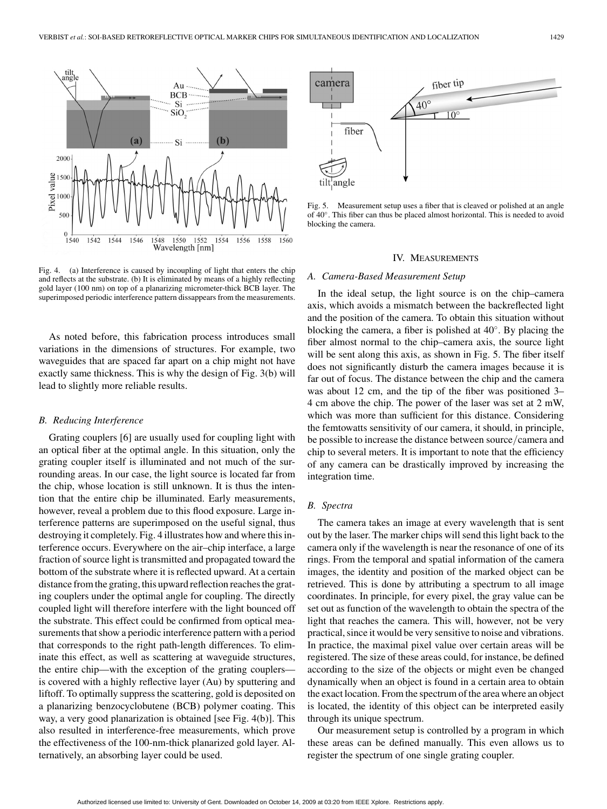

Fig. 4. (a) Interference is caused by incoupling of light that enters the chip and reflects at the substrate. (b) It is eliminated by means of a highly reflecting gold layer (100 nm) on top of a planarizing micrometer-thick BCB layer. The superimposed periodic interference pattern dissappears from the measurements.

As noted before, this fabrication process introduces small variations in the dimensions of structures. For example, two waveguides that are spaced far apart on a chip might not have exactly same thickness. This is why the design of Fig. 3(b) will lead to slightly more reliable results.

#### *B. Reducing Interference*

Grating couplers [6] are usually used for coupling light with an optical fiber at the optimal angle. In this situation, only the grating coupler itself is illuminated and not much of the surrounding areas. In our case, the light source is located far from the chip, whose location is still unknown. It is thus the intention that the entire chip be illuminated. Early measurements, however, reveal a problem due to this flood exposure. Large interference patterns are superimposed on the useful signal, thus destroying it completely. Fig. 4 illustrates how and where this interference occurs. Everywhere on the air–chip interface, a large fraction of source light is transmitted and propagated toward the bottom of the substrate where it is reflected upward. At a certain distance from the grating, this upward reflection reaches the grating couplers under the optimal angle for coupling. The directly coupled light will therefore interfere with the light bounced off the substrate. This effect could be confirmed from optical measurements that show a periodic interference pattern with a period that corresponds to the right path-length differences. To eliminate this effect, as well as scattering at waveguide structures, the entire chip—with the exception of the grating couplers is covered with a highly reflective layer (Au) by sputtering and liftoff. To optimally suppress the scattering, gold is deposited on a planarizing benzocyclobutene (BCB) polymer coating. This way, a very good planarization is obtained [see Fig. 4(b)]. This also resulted in interference-free measurements, which prove the effectiveness of the 100-nm-thick planarized gold layer. Alternatively, an absorbing layer could be used.



Fig. 5. Measurement setup uses a fiber that is cleaved or polished at an angle of 40◦. This fiber can thus be placed almost horizontal. This is needed to avoid blocking the camera.

#### IV. MEASUREMENTS

# *A. Camera-Based Measurement Setup*

In the ideal setup, the light source is on the chip–camera axis, which avoids a mismatch between the backreflected light and the position of the camera. To obtain this situation without blocking the camera, a fiber is polished at 40◦. By placing the fiber almost normal to the chip–camera axis, the source light will be sent along this axis, as shown in Fig. 5. The fiber itself does not significantly disturb the camera images because it is far out of focus. The distance between the chip and the camera was about 12 cm, and the tip of the fiber was positioned 3– 4 cm above the chip. The power of the laser was set at 2 mW, which was more than sufficient for this distance. Considering the femtowatts sensitivity of our camera, it should, in principle, be possible to increase the distance between source/camera and chip to several meters. It is important to note that the efficiency of any camera can be drastically improved by increasing the integration time.

# *B. Spectra*

The camera takes an image at every wavelength that is sent out by the laser. The marker chips will send this light back to the camera only if the wavelength is near the resonance of one of its rings. From the temporal and spatial information of the camera images, the identity and position of the marked object can be retrieved. This is done by attributing a spectrum to all image coordinates. In principle, for every pixel, the gray value can be set out as function of the wavelength to obtain the spectra of the light that reaches the camera. This will, however, not be very practical, since it would be very sensitive to noise and vibrations. In practice, the maximal pixel value over certain areas will be registered. The size of these areas could, for instance, be defined according to the size of the objects or might even be changed dynamically when an object is found in a certain area to obtain the exact location. From the spectrum of the area where an object is located, the identity of this object can be interpreted easily through its unique spectrum.

Our measurement setup is controlled by a program in which these areas can be defined manually. This even allows us to register the spectrum of one single grating coupler.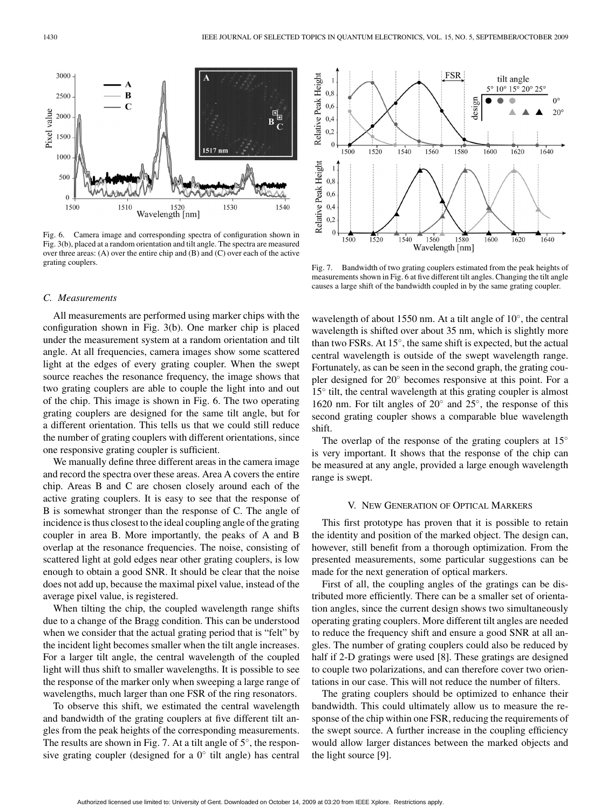

Fig. 6. Camera image and corresponding spectra of configuration shown in Fig. 3(b), placed at a random orientation and tilt angle. The spectra are measured over three areas: (A) over the entire chip and (B) and (C) over each of the active grating couplers.

#### *C. Measurements*

All measurements are performed using marker chips with the configuration shown in Fig. 3(b). One marker chip is placed under the measurement system at a random orientation and tilt angle. At all frequencies, camera images show some scattered light at the edges of every grating coupler. When the swept source reaches the resonance frequency, the image shows that two grating couplers are able to couple the light into and out of the chip. This image is shown in Fig. 6. The two operating grating couplers are designed for the same tilt angle, but for a different orientation. This tells us that we could still reduce the number of grating couplers with different orientations, since one responsive grating coupler is sufficient.

We manually define three different areas in the camera image and record the spectra over these areas. Area A covers the entire chip. Areas B and C are chosen closely around each of the active grating couplers. It is easy to see that the response of B is somewhat stronger than the response of C. The angle of incidence is thus closest to the ideal coupling angle of the grating coupler in area B. More importantly, the peaks of A and B overlap at the resonance frequencies. The noise, consisting of scattered light at gold edges near other grating couplers, is low enough to obtain a good SNR. It should be clear that the noise does not add up, because the maximal pixel value, instead of the average pixel value, is registered.

When tilting the chip, the coupled wavelength range shifts due to a change of the Bragg condition. This can be understood when we consider that the actual grating period that is "felt" by the incident light becomes smaller when the tilt angle increases. For a larger tilt angle, the central wavelength of the coupled light will thus shift to smaller wavelengths. It is possible to see the response of the marker only when sweeping a large range of wavelengths, much larger than one FSR of the ring resonators.

To observe this shift, we estimated the central wavelength and bandwidth of the grating couplers at five different tilt angles from the peak heights of the corresponding measurements. The results are shown in Fig. 7. At a tilt angle of 5◦, the responsive grating coupler (designed for a  $0°$  tilt angle) has central



Fig. 7. Bandwidth of two grating couplers estimated from the peak heights of measurements shown in Fig. 6 at five different tilt angles. Changing the tilt angle causes a large shift of the bandwidth coupled in by the same grating coupler.

wavelength of about 1550 nm. At a tilt angle of 10◦, the central wavelength is shifted over about 35 nm, which is slightly more than two FSRs. At 15◦, the same shift is expected, but the actual central wavelength is outside of the swept wavelength range. Fortunately, as can be seen in the second graph, the grating coupler designed for 20◦ becomes responsive at this point. For a 15◦ tilt, the central wavelength at this grating coupler is almost 1620 nm. For tilt angles of 20◦ and 25◦, the response of this second grating coupler shows a comparable blue wavelength shift.

The overlap of the response of the grating couplers at  $15^\circ$ is very important. It shows that the response of the chip can be measured at any angle, provided a large enough wavelength range is swept.

## V. NEW GENERATION OF OPTICAL MARKERS

This first prototype has proven that it is possible to retain the identity and position of the marked object. The design can, however, still benefit from a thorough optimization. From the presented measurements, some particular suggestions can be made for the next generation of optical markers.

First of all, the coupling angles of the gratings can be distributed more efficiently. There can be a smaller set of orientation angles, since the current design shows two simultaneously operating grating couplers. More different tilt angles are needed to reduce the frequency shift and ensure a good SNR at all angles. The number of grating couplers could also be reduced by half if 2-D gratings were used [8]. These gratings are designed to couple two polarizations, and can therefore cover two orientations in our case. This will not reduce the number of filters.

The grating couplers should be optimized to enhance their bandwidth. This could ultimately allow us to measure the response of the chip within one FSR, reducing the requirements of the swept source. A further increase in the coupling efficiency would allow larger distances between the marked objects and the light source [9].